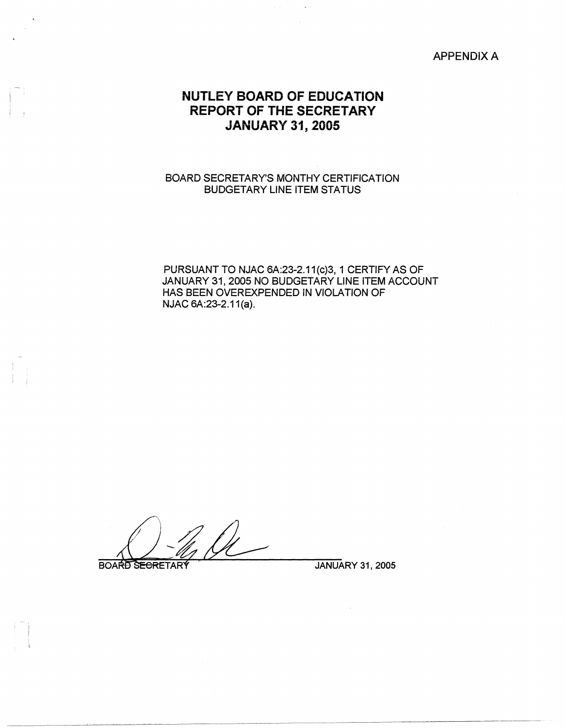## APPENDIX A

## **NUTLEY BOARD OF EDUCATION REPORT OF THE SECRETARY JANUARY 31, 2005**

## BOARD SECRETARY'S MONTHY CERTIFICATION BUDGETARY LINE ITEM STATUS

PURSUANT TO NJAC 6A:23-2.11(c)3, 1 CERTIFY AS OF JANUARY 31, 2005 NO BUDGETARY LINE ITEM ACCOUNT HAS BEEN OVEREXPENDED IN VIOLATION OF NJAC 6A:23-2.11(a).

**BOARD SECRETARY** 

 $\mathbf{I} = \mathbf{I}$ 

 $\vert \cdot \vert$ 

I I

JANUARY 31, 2005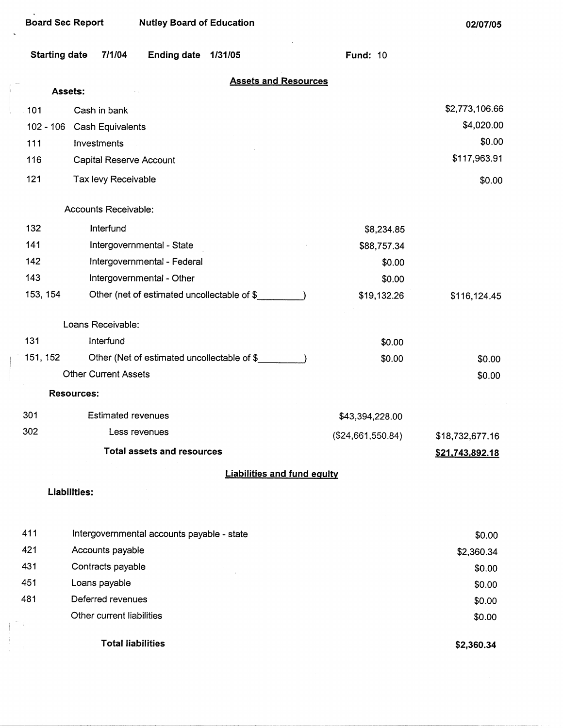$\mathbf{r}$ 

 $\frac{1}{4}$ 

**02/07/05** 

| <b>Starting date</b>     | 7/1/04                      | <b>Ending date</b>                          | 1/31/05 |                                    | <b>Fund: 10</b>   |                 |
|--------------------------|-----------------------------|---------------------------------------------|---------|------------------------------------|-------------------|-----------------|
|                          | Assets:                     |                                             |         | <b>Assets and Resources</b>        |                   |                 |
| 101                      | Cash in bank                |                                             |         |                                    |                   | \$2,773,106.66  |
| $102 - 106$              | Cash Equivalents            |                                             |         |                                    |                   | \$4,020.00      |
| 111                      | Investments                 |                                             |         |                                    |                   | \$0.00          |
| 116                      | Capital Reserve Account     |                                             |         |                                    |                   | \$117,963.91    |
| 121                      | Tax levy Receivable         |                                             |         |                                    |                   | \$0.00          |
|                          | Accounts Receivable:        |                                             |         |                                    |                   |                 |
| 132                      | Interfund                   |                                             |         |                                    | \$8,234.85        |                 |
| 141                      |                             | Intergovernmental - State                   |         |                                    | \$88,757.34       |                 |
| 142                      |                             | Intergovernmental - Federal                 |         |                                    | \$0.00            |                 |
| 143                      |                             | Intergovernmental - Other                   |         |                                    | \$0.00            |                 |
| 153, 154                 |                             | Other (net of estimated uncollectable of \$ |         |                                    | \$19,132.26       | \$116,124.45    |
|                          | Loans Receivable:           |                                             |         |                                    |                   |                 |
| 131                      | Interfund                   |                                             |         |                                    | \$0.00            |                 |
| 151, 152                 |                             | Other (Net of estimated uncollectable of \$ |         |                                    | \$0.00            | \$0.00          |
|                          | <b>Other Current Assets</b> |                                             |         |                                    |                   | \$0.00          |
|                          | <b>Resources:</b>           |                                             |         |                                    |                   |                 |
| 301                      | <b>Estimated revenues</b>   |                                             |         |                                    | \$43,394,228.00   |                 |
| 302                      |                             | Less revenues                               |         |                                    | (\$24,661,550.84) | \$18,732,677.16 |
|                          |                             | <b>Total assets and resources</b>           |         |                                    |                   | \$21,743,892.18 |
|                          |                             |                                             |         | <b>Liabilities and fund equity</b> |                   |                 |
|                          | Liabilities:                |                                             |         |                                    |                   |                 |
| 411                      |                             | Intergovernmental accounts payable - state  |         |                                    |                   | \$0.00          |
| 421                      | Accounts payable            |                                             |         |                                    |                   | \$2,360.34      |
| 431                      | Contracts payable           |                                             |         |                                    |                   | \$0.00          |
| 451                      | Loans payable               |                                             |         |                                    |                   | \$0.00          |
| 481                      | Deferred revenues           |                                             |         |                                    |                   | \$0.00          |
| $\mathcal{I}_\mathrm{c}$ | Other current liabilities   |                                             |         |                                    |                   | \$0.00          |
|                          |                             | <b>Total liabilities</b>                    |         |                                    |                   | \$2,360.34      |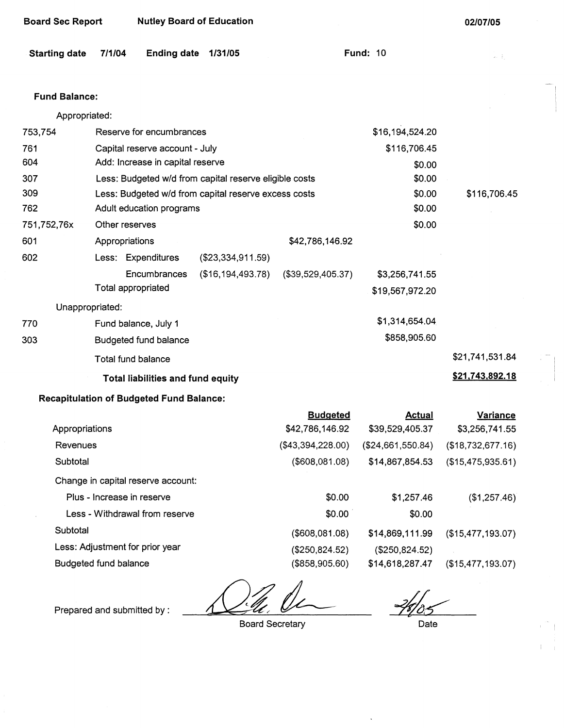| <b>Board Sec Report</b> |                            | <b>Nutley Board of Education</b>                |                                                        |                   | 02/07/05          |                   |
|-------------------------|----------------------------|-------------------------------------------------|--------------------------------------------------------|-------------------|-------------------|-------------------|
| <b>Starting date</b>    | 7/1/04                     | <b>Ending date</b>                              | 1/31/05                                                |                   | <b>Fund: 10</b>   | 41 F.             |
| <b>Fund Balance:</b>    |                            |                                                 |                                                        |                   |                   |                   |
| Appropriated:           |                            |                                                 |                                                        |                   |                   |                   |
| 753,754                 |                            | Reserve for encumbrances                        |                                                        |                   | \$16,194,524.20   |                   |
| 761                     |                            | Capital reserve account - July                  |                                                        |                   | \$116,706.45      |                   |
| 604                     |                            | Add: Increase in capital reserve                |                                                        |                   | \$0.00            |                   |
| 307                     |                            |                                                 | Less: Budgeted w/d from capital reserve eligible costs |                   | \$0.00            |                   |
| 309                     |                            |                                                 | Less: Budgeted w/d from capital reserve excess costs   |                   | \$0.00            | \$116,706.45      |
| 762                     |                            | Adult education programs                        |                                                        |                   | \$0.00            |                   |
| 751,752,76x             | Other reserves             |                                                 |                                                        |                   | \$0.00            |                   |
| 601                     | Appropriations             |                                                 |                                                        | \$42,786,146.92   |                   |                   |
| 602                     |                            | Less: Expenditures                              | (\$23,334,911.59)                                      |                   |                   |                   |
|                         |                            | Encumbrances                                    | (\$16, 194, 493.78)                                    | (\$39,529,405.37) | \$3,256,741.55    |                   |
|                         | Total appropriated         |                                                 |                                                        |                   | \$19,567,972.20   |                   |
| Unappropriated:         |                            |                                                 |                                                        |                   |                   |                   |
| 770                     |                            | Fund balance, July 1                            |                                                        |                   | \$1,314,654.04    |                   |
| 303                     |                            | Budgeted fund balance                           |                                                        |                   | \$858,905.60      |                   |
|                         | <b>Total fund balance</b>  |                                                 |                                                        |                   |                   | \$21,741,531.84   |
|                         |                            | Total liabilities and fund equity               |                                                        |                   |                   | \$21,743,892.18   |
|                         |                            | <b>Recapitulation of Budgeted Fund Balance:</b> |                                                        |                   |                   |                   |
|                         |                            |                                                 |                                                        | <b>Budgeted</b>   | <u>Actual</u>     | <b>Variance</b>   |
| Appropriations          |                            |                                                 |                                                        | \$42,786,146.92   | \$39,529,405.37   | \$3,256,741.55    |
| Revenues                |                            |                                                 |                                                        | (\$43,394,228.00) | (\$24,661,550.84) | (\$18,732,677.16) |
| Subtotal                |                            |                                                 |                                                        | (\$608,081.08)    | \$14,867,854.53   | (\$15,475,935.61) |
|                         |                            | Change in capital reserve account:              |                                                        |                   |                   |                   |
|                         | Plus - Increase in reserve |                                                 |                                                        | \$0.00            | \$1,257.46        | (\$1,257.46)      |
|                         |                            | Less - Withdrawal from reserve                  |                                                        | \$0.00            | \$0.00            |                   |
| Subtotal                |                            |                                                 |                                                        | (\$608,081.08)    | \$14,869,111.99   | (\$15,477,193.07) |
|                         |                            | Less: Adjustment for prior year                 |                                                        | (S250.824.52)     | (S250.824.52)     |                   |

Budgeted fund balance

Prepared and submitted by :

Board Secretary

(\$250,824.52) (\$858,905.60)

Date

\$14,618,287.47 (\$15,477,193.07)

(\$250,824.52)

 $\ddot{\phantom{a}}$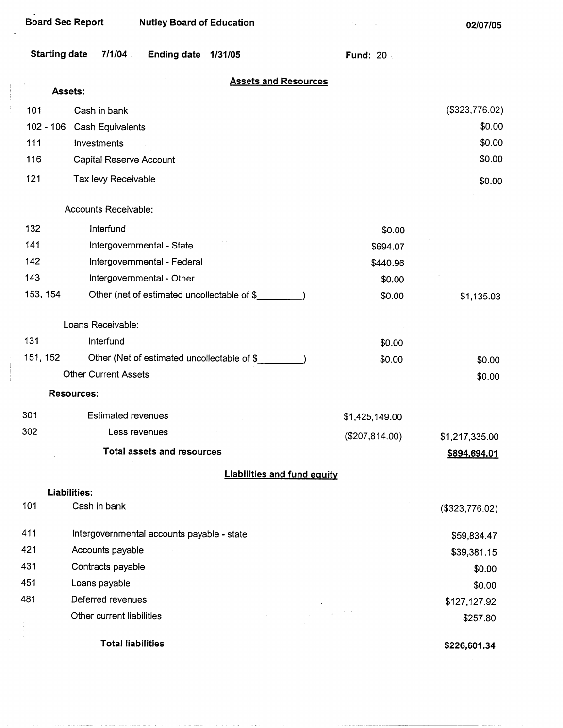| <b>Board Sec Report</b> | <b>Nutley Board of Education</b>              |                 | 02/07/05       |
|-------------------------|-----------------------------------------------|-----------------|----------------|
| <b>Starting date</b>    | 7/1/04<br><b>Ending date</b><br>1/31/05       | <b>Fund: 20</b> |                |
|                         | <b>Assets and Resources</b><br><b>Assets:</b> |                 |                |
| 101                     | Cash in bank                                  |                 | (\$323,776.02) |
| $102 - 106$             | Cash Equivalents                              |                 | \$0.00         |
| 111                     | Investments                                   |                 | \$0.00         |
| 116                     | Capital Reserve Account                       |                 | \$0.00         |
| 121                     | Tax levy Receivable                           |                 | \$0.00         |
|                         | Accounts Receivable:                          |                 |                |
| 132                     | Interfund                                     | \$0.00          |                |
| 141                     | Intergovernmental - State                     | \$694.07        |                |
| 142                     | Intergovernmental - Federal                   | \$440.96        |                |
| 143                     | Intergovernmental - Other                     | \$0.00          |                |
| 153, 154                | Other (net of estimated uncollectable of \$   | \$0.00          | \$1,135.03     |
|                         | Loans Receivable:                             |                 |                |
| 131                     | Interfund                                     | \$0.00          |                |
| 151, 152                | Other (Net of estimated uncollectable of \$   | \$0.00          | \$0.00         |
|                         | <b>Other Current Assets</b>                   |                 | \$0.00         |
|                         | <b>Resources:</b>                             |                 |                |
| 301                     | <b>Estimated revenues</b>                     | \$1,425,149.00  |                |
| 302                     | Less revenues                                 | (\$207, 814.00) | \$1,217,335.00 |
|                         | <b>Total assets and resources</b>             |                 | \$894,694.01   |
|                         | <b>Liabilities and fund equity</b>            |                 |                |
|                         | <b>Liabilities:</b>                           |                 |                |
| 101                     | Cash in bank                                  |                 | (\$323,776.02) |
| 411                     | Intergovernmental accounts payable - state    |                 | \$59,834.47    |
| 421                     | Accounts payable                              |                 | \$39,381.15    |
| 431                     | Contracts payable                             |                 | \$0.00         |
| 451                     | Loans payable                                 |                 | \$0.00         |
| 481                     | Deferred revenues                             |                 | \$127,127.92   |
|                         | Other current liabilities                     |                 | \$257.80       |
|                         | <b>Total liabilities</b>                      |                 | \$226,601.34   |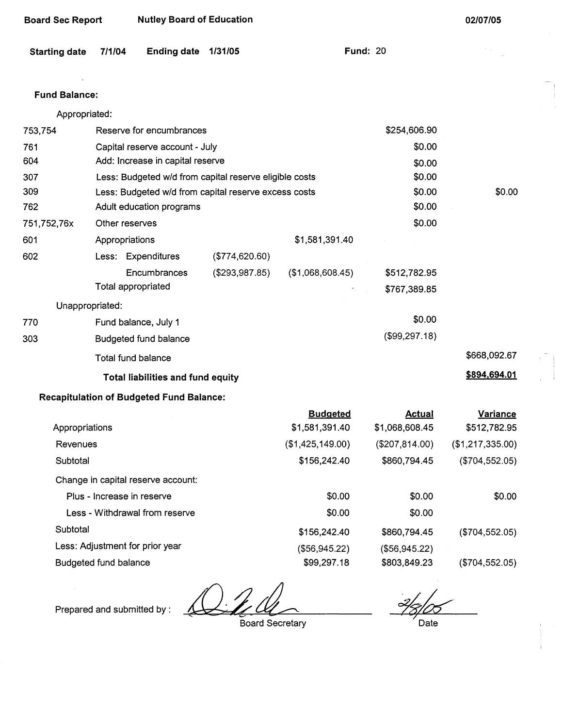| <b>Board Sec Report</b> |                                                        | <b>Nutley Board of Education</b>                |                                                      |                  |                 | 02/07/05         |
|-------------------------|--------------------------------------------------------|-------------------------------------------------|------------------------------------------------------|------------------|-----------------|------------------|
| <b>Starting date</b>    | 7/1/04                                                 | <b>Ending date</b>                              | 1/31/05                                              |                  | <b>Fund: 20</b> |                  |
| <b>Fund Balance:</b>    |                                                        |                                                 |                                                      |                  |                 |                  |
| Appropriated:           |                                                        |                                                 |                                                      |                  |                 |                  |
| 753,754                 |                                                        | Reserve for encumbrances                        |                                                      |                  | \$254,606.90    |                  |
| 761                     |                                                        | Capital reserve account - July                  |                                                      |                  | \$0.00          |                  |
| 604                     |                                                        | Add: Increase in capital reserve                |                                                      |                  | \$0.00          |                  |
| 307                     | Less: Budgeted w/d from capital reserve eligible costs |                                                 |                                                      | \$0.00           |                 |                  |
| 309                     |                                                        |                                                 | Less: Budgeted w/d from capital reserve excess costs |                  | \$0.00          | \$0.00           |
| 762                     |                                                        | Adult education programs                        |                                                      |                  | \$0.00          |                  |
| 751,752,76x             | Other reserves                                         |                                                 |                                                      |                  | \$0.00          |                  |
| 601                     | Appropriations                                         |                                                 |                                                      | \$1,581,391.40   |                 |                  |
| 602                     |                                                        | Less: Expenditures                              | (\$774,620.60)                                       |                  |                 |                  |
|                         |                                                        | Encumbrances                                    | (\$293,987.85)                                       | (\$1,068,608.45) | \$512,782.95    |                  |
|                         | Total appropriated                                     |                                                 |                                                      |                  | \$767,389.85    |                  |
| Unappropriated:         |                                                        |                                                 |                                                      |                  |                 |                  |
| 770                     |                                                        | Fund balance, July 1                            |                                                      |                  | \$0.00          |                  |
| 303                     |                                                        | <b>Budgeted fund balance</b>                    |                                                      |                  | (\$99,297.18)   |                  |
|                         | Total fund balance                                     |                                                 |                                                      |                  |                 | \$668,092.67     |
|                         |                                                        | Total liabilities and fund equity               |                                                      |                  |                 | \$894,694.01     |
|                         |                                                        | <b>Recapitulation of Budgeted Fund Balance:</b> |                                                      |                  |                 |                  |
|                         |                                                        |                                                 |                                                      | <b>Budgeted</b>  | <b>Actual</b>   | Variance         |
| Appropriations          |                                                        |                                                 |                                                      | \$1,581,391.40   | \$1,068,608.45  | \$512,782.95     |
| Revenues                |                                                        |                                                 |                                                      | (\$1,425,149.00) | (\$207,814.00)  | (\$1,217,335.00) |
| Subtotal                |                                                        |                                                 |                                                      | \$156,242.40     | \$860,794.45    | (\$704,552.05)   |
|                         |                                                        | Change in capital reserve account:              |                                                      |                  |                 |                  |
|                         | Plus - Increase in reserve                             |                                                 |                                                      | \$0.00           | \$0.00          | \$0.00           |
|                         |                                                        | Less - Withdrawal from reserve                  |                                                      | \$0.00           | \$0.00          |                  |
| Subtotal                |                                                        |                                                 |                                                      | \$156,242.40     | \$860,794.45    | (\$704,552.05)   |
|                         |                                                        | Less: Adjustment for prior year                 |                                                      | (\$56,945.22)    | (\$56,945.22)   |                  |

Budgeted fund balance

Prepared and submitted by :

Board Secretary

\$99,297.18

Date

**\$803,849.23** 

(\$704,552.05)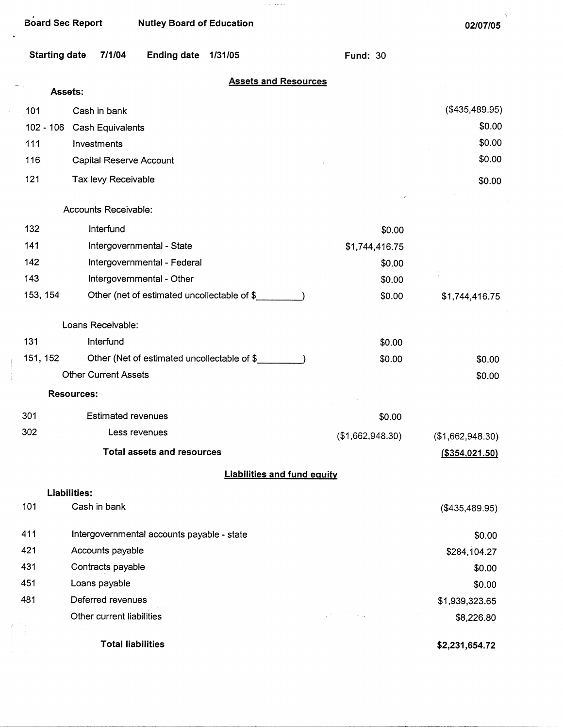L.

 $\gamma$ 

| Starting date 7/1/04 |  | Ending date 1/31/05 |  |  |
|----------------------|--|---------------------|--|--|
|----------------------|--|---------------------|--|--|

Fund: 30

| <b>Assets and Resources</b> |  |  |
|-----------------------------|--|--|
|                             |  |  |

.<br>Politika prin

 $\bar{z}$ 

|             | Assets:                                     |                  |                      |
|-------------|---------------------------------------------|------------------|----------------------|
| 101         | Cash in bank                                |                  | (\$435,489.95)       |
| $102 - 106$ | Cash Equivalents                            |                  | \$0.00               |
| 111         | Investments                                 |                  | \$0.00               |
| 116         | Capital Reserve Account                     |                  | \$0.00               |
| 121         | Tax levy Receivable                         |                  | \$0.00               |
|             | Accounts Receivable:                        |                  |                      |
| 132         | Interfund                                   | \$0.00           |                      |
| 141         | Intergovernmental - State                   | \$1,744,416.75   |                      |
| 142         | Intergovernmental - Federal                 | \$0.00           |                      |
| 143         | Intergovernmental - Other                   | \$0.00           |                      |
| 153, 154    | Other (net of estimated uncollectable of \$ | \$0.00           | \$1,744,416.75       |
|             | Loans Receivable:                           |                  |                      |
| 131         | Interfund                                   | \$0.00           |                      |
| 151, 152    | Other (Net of estimated uncollectable of \$ | \$0.00           | \$0.00               |
|             | <b>Other Current Assets</b>                 |                  | \$0.00               |
|             | <b>Resources:</b>                           |                  |                      |
| 301         | <b>Estimated revenues</b>                   | \$0.00           |                      |
| 302         | Less revenues                               | (\$1,662,948.30) | (\$1,662,948.30)     |
|             | <b>Total assets and resources</b>           |                  | $($ \$354,021.50)    |
|             | <b>Liabilities and fund equity</b>          |                  |                      |
|             | Liabilities:                                |                  |                      |
| 101         | Cash in bank                                |                  | $($ \$435,489.95 $)$ |
| 411         | Intergovernmental accounts payable - state  |                  | \$0.00               |
| 421         | Accounts payable                            |                  | \$284,104.27         |
| 431         | Contracts payable                           |                  | \$0.00               |
| 451         | Loans payable                               |                  | \$0.00               |
| 481         | Deferred revenues                           |                  | \$1,939,323.65       |
|             | Other current liabilities                   |                  | \$8,226.80           |
|             | <b>Total liabilities</b>                    |                  | \$2,231,654.72       |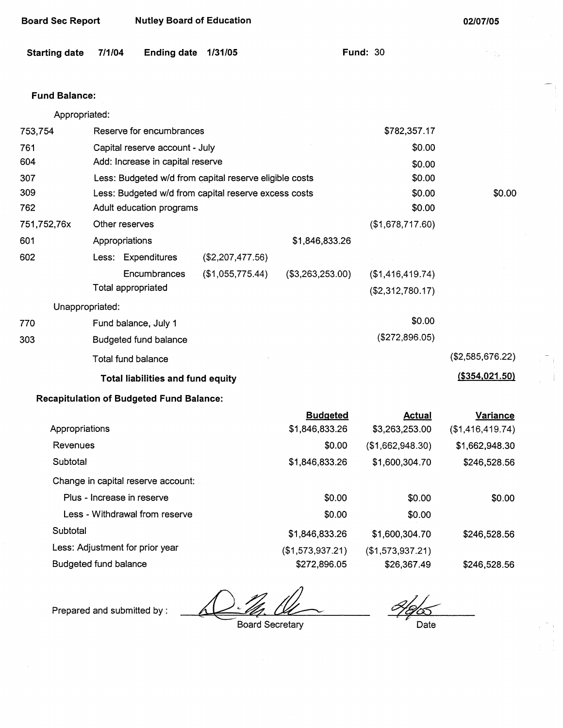| <b>Board Sec Report</b> |                | <b>Nutley Board of Education</b>                |                                                        |                                   |                                 | 02/07/05                            |
|-------------------------|----------------|-------------------------------------------------|--------------------------------------------------------|-----------------------------------|---------------------------------|-------------------------------------|
| <b>Starting date</b>    | 7/1/04         | <b>Ending date</b>                              | 1/31/05                                                |                                   | <b>Fund: 30</b>                 | 大臣                                  |
| <b>Fund Balance:</b>    |                |                                                 |                                                        |                                   |                                 |                                     |
| Appropriated:           |                |                                                 |                                                        |                                   |                                 |                                     |
| 753,754                 |                | Reserve for encumbrances                        |                                                        |                                   | \$782,357.17                    |                                     |
| 761                     |                | Capital reserve account - July                  |                                                        |                                   | \$0.00                          |                                     |
| 604                     |                | Add: Increase in capital reserve                |                                                        |                                   | \$0.00                          |                                     |
| 307                     |                |                                                 | Less: Budgeted w/d from capital reserve eligible costs |                                   | \$0.00                          |                                     |
| 309                     |                |                                                 | Less: Budgeted w/d from capital reserve excess costs   |                                   | \$0.00                          | \$0.00                              |
| 762                     |                | Adult education programs                        |                                                        |                                   | \$0.00                          |                                     |
| 751,752,76x             | Other reserves |                                                 |                                                        |                                   | (\$1,678,717.60)                |                                     |
| 601                     | Appropriations |                                                 |                                                        | \$1,846,833.26                    |                                 |                                     |
| 602                     |                | Less: Expenditures                              | (\$2,207,477.56)                                       |                                   |                                 |                                     |
|                         |                | Encumbrances                                    | (\$1,055,775.44)                                       | (\$3,263,253.00)                  | (\$1,416,419.74)                |                                     |
|                         |                | Total appropriated                              |                                                        |                                   | (\$2,312,780.17)                |                                     |
| Unappropriated:         |                |                                                 |                                                        |                                   |                                 |                                     |
| 770                     |                | Fund balance, July 1                            |                                                        |                                   | \$0.00                          |                                     |
| 303                     |                | <b>Budgeted fund balance</b>                    |                                                        |                                   | (\$272,896.05)                  |                                     |
|                         |                | Total fund balance                              |                                                        |                                   |                                 | (\$2,585,676.22)                    |
|                         |                | <b>Total liabilities and fund equity</b>        |                                                        |                                   |                                 | $($ \$354,021.50)                   |
|                         |                | <b>Recapitulation of Budgeted Fund Balance:</b> |                                                        |                                   |                                 |                                     |
| Appropriations          |                |                                                 |                                                        | <b>Budgeted</b><br>\$1,846,833.26 | <b>Actual</b><br>\$3,263,253.00 | <b>Variance</b><br>(\$1,416,419.74) |
| Revenues                |                |                                                 |                                                        | \$0.00                            | (\$1,662,948.30)                | \$1,662,948.30                      |
| Subtotal                |                |                                                 |                                                        | \$1,846,833.26                    | \$1,600,304.70                  | \$246,528.56                        |
|                         |                | Change in capital reserve account:              |                                                        |                                   |                                 |                                     |
|                         |                | Plus - Increase in reserve                      |                                                        | \$0.00                            | \$0.00                          | \$0.00                              |
|                         |                | Less - Withdrawal from reserve                  |                                                        | \$0.00                            | \$0.00                          |                                     |
| Subtotal                |                |                                                 |                                                        | \$1,846,833.26                    | \$1,600,304.70                  | \$246,528.56                        |

Less: Adjustment for prior year Budgeted fund balance

Prepared and submitted by :

Board Secretary

Date

(\$1,573,937.21) \$26,367.49

(\$1,573,937.21) \$272,896.05

\$246,528.56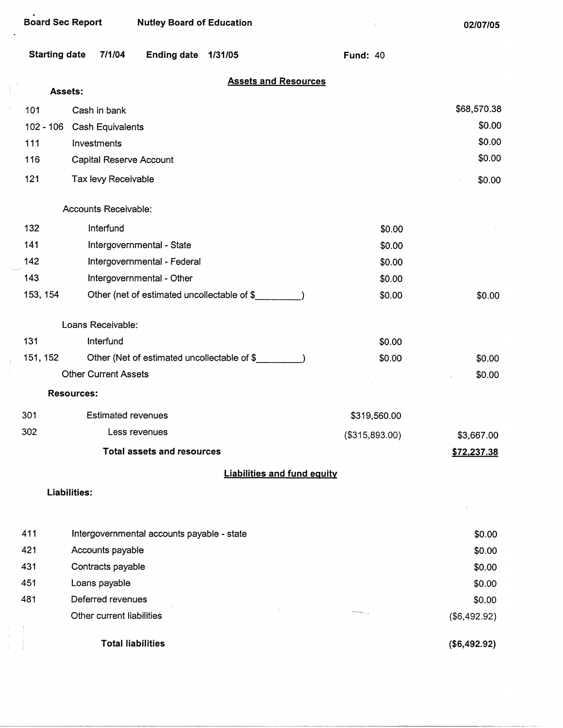J.  $\bar{z}$ 

 $\frac{1}{2}$ ÷  $\mathcal{F}_{\mathcal{A}}$ 

| <b>Starting date</b> | 7/1/04<br><b>Ending date</b><br>1/31/05     | <b>Fund: 40</b> |              |
|----------------------|---------------------------------------------|-----------------|--------------|
|                      | <b>Assets and Resources</b><br>Assets:      |                 |              |
| 101                  | Cash in bank                                |                 | \$68,570.38  |
| $102 - 106$          | Cash Equivalents                            |                 | \$0.00       |
| 111                  | Investments                                 |                 | \$0.00       |
| 116                  | Capital Reserve Account                     |                 | \$0.00       |
|                      |                                             |                 |              |
| 121                  | Tax levy Receivable                         |                 | \$0.00       |
|                      | Accounts Receivable:                        |                 |              |
| 132                  | Interfund                                   | \$0.00          |              |
| 141                  | Intergovernmental - State                   | \$0.00          |              |
| 142                  | Intergovernmental - Federal                 | \$0.00          |              |
| 143                  | Intergovernmental - Other                   | \$0.00          |              |
| 153, 154             | Other (net of estimated uncollectable of \$ | \$0.00          | \$0.00       |
|                      | Loans Receivable:                           |                 |              |
| 131                  | Interfund                                   | \$0.00          |              |
| 151, 152             | Other (Net of estimated uncollectable of \$ | \$0.00          | \$0.00       |
|                      | <b>Other Current Assets</b>                 |                 | \$0.00       |
|                      | <b>Resources:</b>                           |                 |              |
| 301                  | <b>Estimated revenues</b>                   | \$319,560.00    |              |
| 302                  | Less revenues                               | (\$315,893.00)  | \$3,667.00   |
|                      | Total assets and resources                  |                 | \$72,237.38  |
|                      | <b>Liabilities and fund equity</b>          |                 |              |
|                      | Liabilities:                                |                 |              |
| 411                  | Intergovernmental accounts payable - state  |                 | \$0.00       |
| 421                  | Accounts payable                            |                 | \$0.00       |
| 431                  | Contracts payable                           |                 | \$0.00       |
| 451                  | Loans payable                               |                 | \$0.00       |
| 481                  | Deferred revenues                           |                 | \$0.00       |
|                      | Other current liabilities                   |                 | (\$6,492.92) |
|                      | <b>Total liabilities</b>                    |                 | (\$6,492.92) |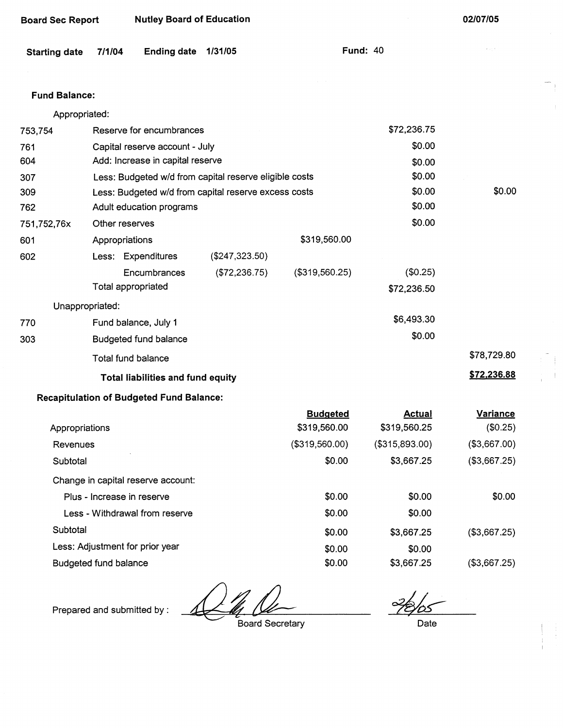| <b>Starting date</b> | 7/1/04         | <b>Ending date</b>                                   | 1/31/05                                                |                 | <b>Fund: 40</b> |                 |
|----------------------|----------------|------------------------------------------------------|--------------------------------------------------------|-----------------|-----------------|-----------------|
| <b>Fund Balance:</b> |                |                                                      |                                                        |                 |                 |                 |
| Appropriated:        |                |                                                      |                                                        |                 |                 |                 |
| 753,754              |                | Reserve for encumbrances                             |                                                        |                 | \$72,236.75     |                 |
| 761                  |                | Capital reserve account - July                       |                                                        |                 | \$0.00          |                 |
| 604                  |                | Add: Increase in capital reserve                     |                                                        |                 | \$0.00          |                 |
| 307                  |                |                                                      | Less: Budgeted w/d from capital reserve eligible costs |                 | \$0.00          |                 |
| 309                  |                | Less: Budgeted w/d from capital reserve excess costs |                                                        |                 |                 | \$0.00          |
| 762                  |                | Adult education programs                             |                                                        |                 | \$0.00          |                 |
| 751,752,76x          | Other reserves |                                                      |                                                        |                 | \$0.00          |                 |
| 601                  | Appropriations |                                                      |                                                        | \$319,560.00    |                 |                 |
| 602                  |                | Less: Expenditures                                   | (\$247,323.50)                                         |                 |                 |                 |
|                      |                | Encumbrances                                         | (\$72,236.75)                                          | (\$319,560.25)  | (\$0.25)        |                 |
|                      |                | Total appropriated                                   |                                                        |                 | \$72,236.50     |                 |
| Unappropriated:      |                |                                                      |                                                        |                 |                 |                 |
| 770                  |                | Fund balance, July 1                                 |                                                        |                 | \$6,493.30      |                 |
| 303                  |                | Budgeted fund balance                                |                                                        |                 | \$0.00          |                 |
|                      |                | <b>Total fund balance</b>                            |                                                        |                 |                 | \$78,729.80     |
|                      |                | Total liabilities and fund equity                    |                                                        |                 |                 | \$72,236.88     |
|                      |                | <b>Recapitulation of Budgeted Fund Balance:</b>      |                                                        |                 |                 |                 |
|                      |                |                                                      |                                                        | <b>Budgeted</b> | <b>Actual</b>   | <b>Variance</b> |
| Appropriations       |                |                                                      |                                                        | \$319,560.00    | \$319,560.25    | (S0.25)         |

| Appropriations                     | \$319,560.00   | \$319,560.25   | (\$0.25)     |
|------------------------------------|----------------|----------------|--------------|
| Revenues                           | (\$319,560.00) | (\$315,893.00) | (\$3,667.00) |
| Subtotal                           | \$0.00         | \$3,667.25     | (\$3,667.25) |
| Change in capital reserve account: |                |                |              |
| Plus - Increase in reserve         | \$0.00         | \$0.00         | \$0.00       |
| Less - Withdrawal from reserve     | \$0.00         | \$0.00         |              |
| Subtotal                           | \$0.00         | \$3,667.25     | (\$3,667.25) |
| Less: Adjustment for prior year    | \$0.00         | \$0.00         |              |
| Budgeted fund balance              | \$0.00         | \$3,667.25     | (\$3,667.25) |

Prepared and submitted by:

**Board Sec Report Nutley Board of Education** 

Board Secretary

~· Date

÷

**02/07/05**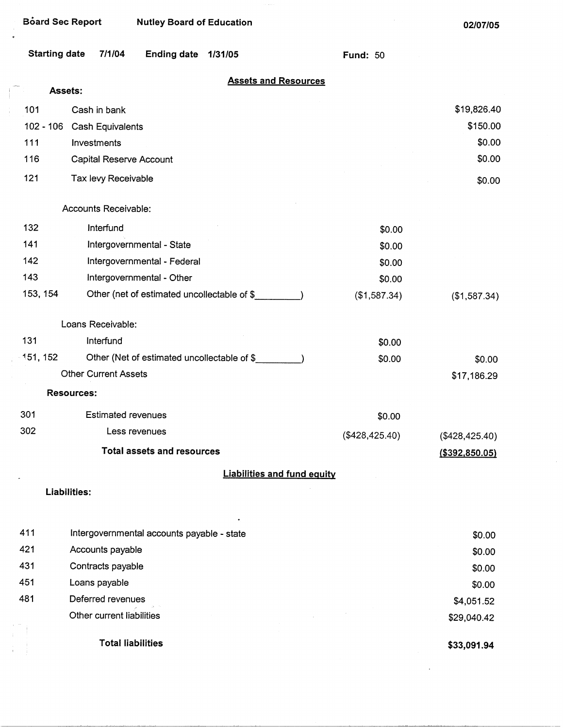,

 $\frac{1}{4}$ 

\$4,051.52 \$29,040.42

**\$33,091.94** 

| DOAIU JEU NEPOIT<br><b>Nutley Doard Of Equeation</b>            |                 | 02/07/05          |
|-----------------------------------------------------------------|-----------------|-------------------|
| <b>Starting date</b><br>7/1/04<br><b>Ending date</b><br>1/31/05 | <b>Fund: 50</b> |                   |
| <b>Assets and Resources</b><br>Assets:                          |                 |                   |
| 101<br>Cash in bank                                             |                 | \$19,826.40       |
| $102 - 106$<br><b>Cash Equivalents</b>                          |                 | \$150.00          |
| 111<br>Investments                                              |                 | \$0.00            |
| 116<br>Capital Reserve Account                                  |                 | \$0.00            |
| 121<br>Tax levy Receivable                                      |                 | \$0.00            |
| Accounts Receivable:                                            |                 |                   |
| 132<br>Interfund                                                | \$0.00          |                   |
| 141<br>Intergovernmental - State                                | \$0.00          |                   |
| 142<br>Intergovernmental - Federal                              | \$0.00          |                   |
| 143<br>Intergovernmental - Other                                | \$0.00          |                   |
| 153, 154<br>Other (net of estimated uncollectable of \$         | (\$1,587.34)    | (\$1,587.34)      |
| Loans Receivable:                                               |                 |                   |
| 131<br>Interfund                                                | \$0.00          |                   |
| 151, 152<br>Other (Net of estimated uncollectable of \$         | \$0.00          | \$0.00            |
| <b>Other Current Assets</b>                                     |                 | \$17,186.29       |
| <b>Resources:</b>                                               |                 |                   |
| 301<br><b>Estimated revenues</b>                                | \$0.00          |                   |
| 302<br>Less revenues                                            | (\$428, 425.40) | $(*428,425.40)$   |
| <b>Total assets and resources</b>                               |                 | $($ \$392,850.05) |
| <b>Liabilities and fund equity</b>                              |                 |                   |
| Liabilities:                                                    |                 |                   |
| 411<br>Intergovernmental accounts payable - state               |                 | \$0.00            |
| 421<br>Accounts payable                                         |                 | \$0.00            |
| 431<br>Contracts payable                                        |                 | \$0.00            |
| 451<br>Loans payable                                            |                 | \$0.00            |

|     | ٠                                          |
|-----|--------------------------------------------|
| 411 | Intergovernmental accounts payable - state |
| 421 | Accounts payable                           |
| 431 | Contracts payable                          |
| 451 | Loans payable                              |
| 481 | Deferred revenues<br>29.1                  |
|     | Other current liabilities                  |
|     |                                            |
|     | <b>Total liabilities</b>                   |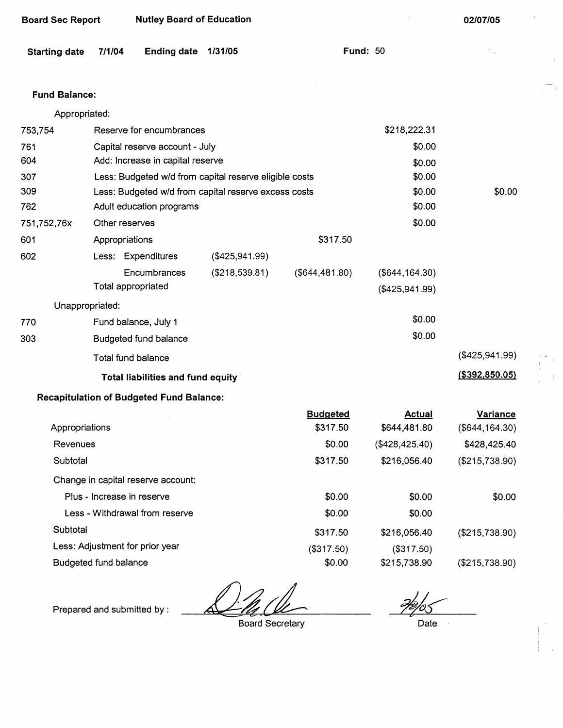| <b>Board Sec Report</b>        |                                | <b>Nutley Board of Education</b>                |                                                        |                             |                                     | 02/07/05                             |
|--------------------------------|--------------------------------|-------------------------------------------------|--------------------------------------------------------|-----------------------------|-------------------------------------|--------------------------------------|
| <b>Starting date</b>           | 7/1/04                         | <b>Ending date</b>                              | 1/31/05                                                |                             | <b>Fund: 50</b>                     | $\sigma_{\rm{jet}}$                  |
| <b>Fund Balance:</b>           |                                |                                                 |                                                        |                             |                                     |                                      |
| Appropriated:                  |                                |                                                 |                                                        |                             |                                     |                                      |
| 753,754                        | Reserve for encumbrances       |                                                 |                                                        |                             | \$218,222.31                        |                                      |
| 761                            | Capital reserve account - July |                                                 |                                                        |                             | \$0.00                              |                                      |
| 604                            |                                | Add: Increase in capital reserve                |                                                        |                             | \$0.00                              |                                      |
| 307                            |                                |                                                 | Less: Budgeted w/d from capital reserve eligible costs |                             | \$0.00                              |                                      |
| 309                            |                                |                                                 | Less: Budgeted w/d from capital reserve excess costs   |                             | \$0.00                              | \$0.00                               |
| 762                            |                                | Adult education programs                        |                                                        |                             | \$0.00                              |                                      |
| 751,752,76x                    | Other reserves                 |                                                 |                                                        |                             | \$0.00                              |                                      |
| 601                            | Appropriations                 |                                                 |                                                        | \$317.50                    |                                     |                                      |
| 602                            |                                | Less: Expenditures                              | (\$425,941.99)                                         |                             |                                     |                                      |
|                                | Total appropriated             | Encumbrances                                    | (\$218,539.81)                                         | (\$644,481.80)              | $(\$644, 164.30)$<br>(\$425,941.99) |                                      |
| Unappropriated:                |                                |                                                 |                                                        |                             |                                     |                                      |
| 770                            |                                | Fund balance, July 1                            |                                                        |                             | \$0.00                              |                                      |
| 303                            |                                | Budgeted fund balance                           |                                                        |                             | \$0.00                              |                                      |
|                                | Total fund balance             |                                                 |                                                        |                             |                                     | $(\$425,941.99)$                     |
|                                |                                | <b>Total liabilities and fund equity</b>        |                                                        |                             |                                     | ( \$392, 850.05)                     |
|                                |                                | <b>Recapitulation of Budgeted Fund Balance:</b> |                                                        |                             |                                     |                                      |
| Appropriations                 |                                |                                                 |                                                        | <b>Budgeted</b><br>\$317.50 | <b>Actual</b><br>\$644,481.80       | <b>Variance</b><br>$(\$644, 164.30)$ |
| Revenues                       |                                |                                                 |                                                        | \$0.00                      | (\$428, 425.40)                     | \$428,425.40                         |
| Subtotal                       |                                |                                                 |                                                        | \$317.50                    | \$216,056.40                        | (\$215,738.90)                       |
|                                |                                | Change in capital reserve account:              |                                                        |                             |                                     |                                      |
| Plus - Increase in reserve     |                                |                                                 | \$0.00                                                 | \$0.00                      | \$0.00                              |                                      |
| Less - Withdrawal from reserve |                                |                                                 |                                                        | \$0.00                      | \$0.00                              |                                      |
| Subtotal                       |                                |                                                 |                                                        | \$317.50                    | \$216,056.40                        | (\$215,738.90)                       |
|                                |                                | Less: Adjustment for prior year                 |                                                        | (\$317.50)                  | (\$317.50)                          |                                      |
| Budgeted fund balance          |                                |                                                 | \$0.00                                                 | \$215,738.90                | (\$215,738.90)                      |                                      |

Д

Prepared and submitted by :

Board Secretary

 $\frac{2}{2}$ Date

 $\hat{\mathcal{A}}$ 

٦,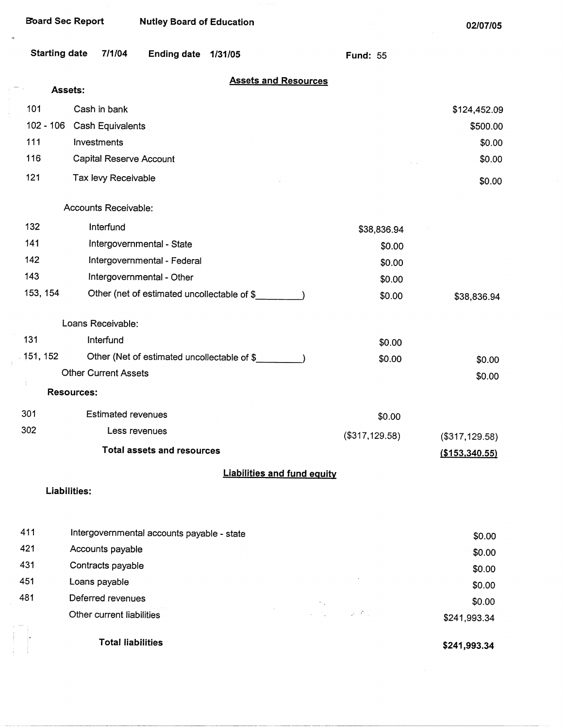$\frac{1}{2}$ 

| <b>Starting date</b> | 7/1/04<br><b>Ending date</b><br>1/31/05     | <b>Fund: 55</b> |                        |
|----------------------|---------------------------------------------|-----------------|------------------------|
|                      | <b>Assets and Resources</b><br>Assets:      |                 |                        |
| 101                  | Cash in bank                                |                 | \$124,452.09           |
| $102 - 106$          | Cash Equivalents                            |                 | \$500.00               |
| 111                  | Investments                                 |                 | \$0.00                 |
| 116                  | Capital Reserve Account                     |                 | \$0.00                 |
| 121                  | Tax levy Receivable                         |                 | \$0.00                 |
|                      | Accounts Receivable:                        |                 |                        |
| 132                  | Interfund                                   | \$38,836.94     |                        |
| 141                  | Intergovernmental - State                   | \$0.00          |                        |
| 142                  | Intergovernmental - Federal                 | \$0.00          |                        |
| 143                  | Intergovernmental - Other                   | \$0.00          |                        |
| 153, 154             | Other (net of estimated uncollectable of \$ | \$0.00          | \$38,836.94            |
|                      | Loans Receivable:                           |                 |                        |
| 131                  | Interfund                                   | \$0.00          |                        |
| . 151, 152           | Other (Net of estimated uncollectable of \$ | \$0.00          | \$0.00                 |
|                      | <b>Other Current Assets</b>                 |                 | \$0.00                 |
|                      | <b>Resources:</b>                           |                 |                        |
| 301                  | <b>Estimated revenues</b>                   | \$0.00          |                        |
| 302                  | Less revenues                               | (\$317,129.58)  | (\$317,129.58)         |
|                      | <b>Total assets and resources</b>           |                 | (\$153,340.55)         |
|                      | <b>Liabilities and fund equity</b>          |                 |                        |
|                      | Liabilities:                                |                 |                        |
| 411                  | Intergovernmental accounts payable - state  |                 |                        |
| 421                  | Accounts payable                            |                 | \$0.00                 |
| 431                  | Contracts payable                           |                 | \$0.00                 |
| 451                  | Loans payable                               |                 | \$0.00                 |
| 481                  | Deferred revenues                           |                 | \$0.00                 |
|                      | Other current liabilities                   |                 | \$0.00<br>\$241,993.34 |
|                      | <b>Total liabilities</b>                    |                 | \$241,993.34           |